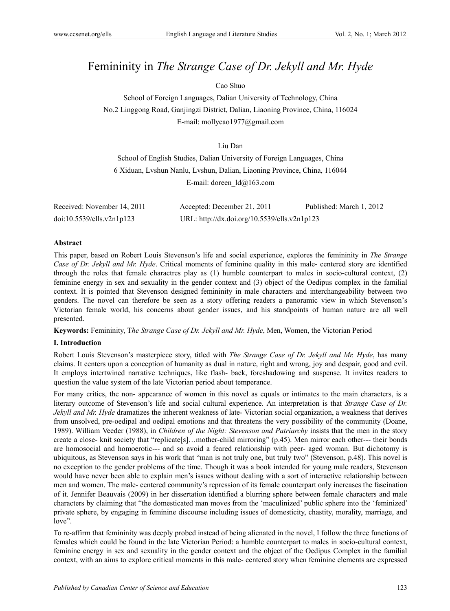# Femininity in *The Strange Case of Dr. Jekyll and Mr. Hyde*

# Cao Shuo

School of Foreign Languages, Dalian University of Technology, China No.2 Linggong Road, Ganjingzi District, Dalian, Liaoning Province, China, 116024 E-mail: mollycao1977@gmail.com

# Liu Dan

School of English Studies, Dalian University of Foreign Languages, China 6 Xiduan, Lvshun Nanlu, Lvshun, Dalian, Liaoning Province, China, 116044 E-mail: doreen\_ld@163.com

| Received: November 14, 2011 | Accepted: December 21, 2011                  | Published: March 1, 2012 |
|-----------------------------|----------------------------------------------|--------------------------|
| doi:10.5539/ells.v2n1p123   | URL: http://dx.doi.org/10.5539/ells.v2n1p123 |                          |

# **Abstract**

This paper, based on Robert Louis Stevenson's life and social experience, explores the femininity in *The Strange Case of Dr. Jekyll and Mr. Hyde*. Critical moments of feminine quality in this male- centered story are identified through the roles that female charactres play as (1) humble counterpart to males in socio-cultural context, (2) feminine energy in sex and sexuality in the gender context and (3) object of the Oedipus complex in the familial context. It is pointed that Stevenson designed femininity in male characters and interchangeability between two genders. The novel can therefore be seen as a story offering readers a panoramic view in which Stevenson's Victorian female world, his concerns about gender issues, and his standpoints of human nature are all well presented.

# **Keywords:** Femininity, T*he Strange Case of Dr. Jekyll and Mr. Hyde*, Men, Women, the Victorian Period

#### **I. Introduction**

Robert Louis Stevenson's masterpiece story, titled with *The Strange Case of Dr. Jekyll and Mr. Hyde*, has many claims. It centers upon a conception of humanity as dual in nature, right and wrong, joy and despair, good and evil. It employs intertwined narrative techniques, like flash- back, foreshadowing and suspense. It invites readers to question the value system of the late Victorian period about temperance.

For many critics, the non- appearance of women in this novel as equals or intimates to the main characters, is a literary outcome of Stevenson's life and social cultural experience. An interpretation is that *Strange Case of Dr. Jekyll and Mr. Hyde* dramatizes the inherent weakness of late- Victorian social organization, a weakness that derives from unsolved, pre-oedipal and oedipal emotions and that threatens the very possibility of the community (Doane, 1989). William Veeder (1988), in *Children of the Night: Stevenson and Patriarchy* insists that the men in the story create a close- knit society that "replicate[s]…mother-child mirroring" (p.45). Men mirror each other--- their bonds are homosocial and homoerotic--- and so avoid a feared relationship with peer- aged woman. But dichotomy is ubiquitous, as Stevenson says in his work that "man is not truly one, but truly two" (Stevenson, p.48). This novel is no exception to the gender problems of the time. Though it was a book intended for young male readers, Stevenson would have never been able to explain men's issues without dealing with a sort of interactive relationship between men and women. The male- centered community's repression of its female counterpart only increases the fascination of it. Jennifer Beauvais (2009) in her dissertation identified a blurring sphere between female characters and male characters by claiming that "the domesticated man moves from the 'maculinized' public sphere into the 'feminized' private sphere, by engaging in feminine discourse including issues of domesticity, chastity, morality, marriage, and love".

To re-affirm that femininity was deeply probed instead of being alienated in the novel, I follow the three functions of females which could be found in the late Victorian Period: a humble counterpart to males in socio-cultural context, feminine energy in sex and sexuality in the gender context and the object of the Oedipus Complex in the familial context, with an aims to explore critical moments in this male- centered story when feminine elements are expressed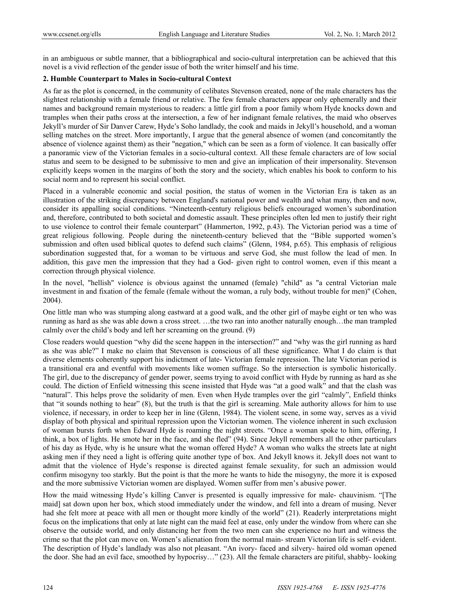in an ambiguous or subtle manner, that a bibliographical and socio-cultural interpretation can be achieved that this novel is a vivid reflection of the gender issue of both the writer himself and his time.

# **2. Humble Counterpart to Males in Socio-cultural Context**

As far as the plot is concerned, in the community of celibates Stevenson created, none of the male characters has the slightest relationship with a female friend or relative. The few female characters appear only ephemerally and their names and background remain mysterious to readers: a little girl from a poor family whom Hyde knocks down and tramples when their paths cross at the intersection, a few of her indignant female relatives, the maid who observes Jekyll's murder of Sir Danver Carew, Hyde's Soho landlady, the cook and maids in Jekyll's household, and a woman selling matches on the street. More importantly, I argue that the general absence of women (and concomitantly the absence of violence against them) as their "negation," which can be seen as a form of violence. It can basically offer a panoramic view of the Victorian females in a socio-cultural context. All these female characters are of low social status and seem to be designed to be submissive to men and give an implication of their impersonality. Stevenson explicitly keeps women in the margins of both the story and the society, which enables his book to conform to his social norm and to represent his social conflict.

Placed in a vulnerable economic and social position, the status of women in the Victorian Era is taken as an illustration of the striking discrepancy between England's national power and wealth and what many, then and now, consider its appalling social conditions. "Nineteenth-century religious beliefs encouraged women's subordination and, therefore, contributed to both societal and domestic assault. These principles often led men to justify their right to use violence to control their female counterpart" (Hammerton, 1992, p.43). The Victorian period was a time of great religious following. People during the nineteenth-century believed that the "Bible supported women's submission and often used biblical quotes to defend such claims" (Glenn, 1984, p.65). This emphasis of religious subordination suggested that, for a woman to be virtuous and serve God, she must follow the lead of men. In addition, this gave men the impression that they had a God- given right to control women, even if this meant a correction through physical violence.

In the novel, "hellish" violence is obvious against the unnamed (female) "child" as "a central Victorian male investment in and fixation of the female (female without the woman, a ruly body, without trouble for men)" (Cohen, 2004).

One little man who was stumping along eastward at a good walk, and the other girl of maybe eight or ten who was running as hard as she was able down a cross street. …the two ran into another naturally enough…the man trampled calmly over the child's body and left her screaming on the ground. (9)

Close readers would question "why did the scene happen in the intersection?" and "why was the girl running as hard as she was able?" I make no claim that Stevenson is conscious of all these significance. What I do claim is that diverse elements coherently support his indictment of late- Victorian female repression. The late Victorian period is a transitional era and eventful with movements like women suffrage. So the intersection is symbolic historically. The girl, due to the discrepancy of gender power, seems trying to avoid conflict with Hyde by running as hard as she could. The diction of Enfield witnessing this scene insisted that Hyde was "at a good walk" and that the clash was "natural". This helps prove the solidarity of men. Even when Hyde tramples over the girl "calmly", Enfield thinks that "it sounds nothing to hear" (8), but the truth is that the girl is screaming. Male authority allows for him to use violence, if necessary, in order to keep her in line (Glenn, 1984). The violent scene, in some way, serves as a vivid display of both physical and spiritual repression upon the Victorian women. The violence inherent in such exclusion of woman bursts forth when Edward Hyde is roaming the night streets. "Once a woman spoke to him, offering, I think, a box of lights. He smote her in the face, and she fled" (94). Since Jekyll remembers all the other particulars of his day as Hyde, why is he unsure what the woman offered Hyde? A woman who walks the streets late at night asking men if they need a light is offering quite another type of box. And Jekyll knows it. Jekyll does not want to admit that the violence of Hyde's response is directed against female sexuality, for such an admission would confirm misogyny too starkly. But the point is that the more he wants to hide the misogyny, the more it is exposed and the more submissive Victorian women are displayed. Women suffer from men's abusive power.

How the maid witnessing Hyde's killing Canver is presented is equally impressive for male- chauvinism. "[The maid] sat down upon her box, which stood immediately under the window, and fell into a dream of musing. Never had she felt more at peace with all men or thought more kindly of the world" (21). Readerly interpretations might focus on the implications that only at late night can the maid feel at ease, only under the window from where can she observe the outside world, and only distancing her from the two men can she experience no hurt and witness the crime so that the plot can move on. Women's alienation from the normal main- stream Victorian life is self- evident. The description of Hyde's landlady was also not pleasant. "An ivory- faced and silvery- haired old woman opened the door. She had an evil face, smoothed by hypocrisy…" (23). All the female characters are pitiful, shabby- looking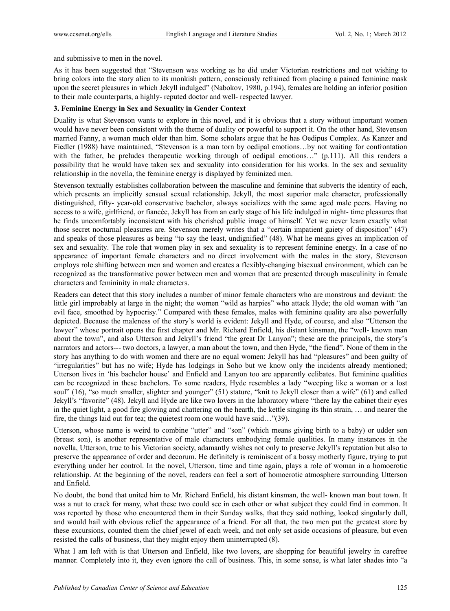and submissive to men in the novel.

As it has been suggested that "Stevenson was working as he did under Victorian restrictions and not wishing to bring colors into the story alien to its monkish pattern, consciously refrained from placing a pained feminine mask upon the secret pleasures in which Jekyll indulged" (Nabokov, 1980, p.194), females are holding an inferior position to their male counterparts, a highly- reputed doctor and well- respected lawyer.

# **3. Feminine Energy in Sex and Sexuality in Gender Context**

Duality is what Stevenson wants to explore in this novel, and it is obvious that a story without important women would have never been consistent with the theme of duality or powerful to support it. On the other hand, Stevenson married Fanny, a woman much older than him. Some scholars argue that he has Oedipus Complex. As Kanzer and Fiedler (1988) have maintained, "Stevenson is a man torn by oedipal emotions…by not waiting for confrontation with the father, he preludes therapeutic working through of oedipal emotions..." (p.111). All this renders a possibility that he would have taken sex and sexuality into consideration for his works. In the sex and sexuality relationship in the novella, the feminine energy is displayed by feminized men.

Stevenson textually establishes collaboration between the masculine and feminine that subverts the identity of each, which presents an implicitly sensual sexual relationship. Jekyll, the most superior male character, professionally distinguished, fifty- year-old conservative bachelor, always socializes with the same aged male peers. Having no access to a wife, girlfriend, or fiancée, Jekyll has from an early stage of his life indulged in night- time pleasures that he finds uncomfortably inconsistent with his cherished public image of himself. Yet we never learn exactly what those secret nocturnal pleasures are. Stevenson merely writes that a "certain impatient gaiety of disposition" (47) and speaks of those pleasures as being "to say the least, undignified" (48). What he means gives an implication of sex and sexuality. The role that women play in sex and sexuality is to represent feminine energy. In a case of no appearance of important female characters and no direct involvement with the males in the story, Stevenson employs role shifting between men and women and creates a flexibly-changing bisexual environment, which can be recognized as the transformative power between men and women that are presented through masculinity in female characters and femininity in male characters.

Readers can detect that this story includes a number of minor female characters who are monstrous and deviant: the little girl improbably at large in the night; the women "wild as harpies" who attack Hyde; the old woman with "an evil face, smoothed by hypocrisy." Compared with these females, males with feminine quality are also powerfully depicted. Because the maleness of the story's world is evident: Jekyll and Hyde, of course, and also "Utterson the lawyer" whose portrait opens the first chapter and Mr. Richard Enfield, his distant kinsman, the "well- known man about the town", and also Utterson and Jekyll's friend "the great Dr Lanyon"; these are the principals, the story's narrators and actors--- two doctors, a lawyer, a man about the town, and then Hyde, "the fiend". None of them in the story has anything to do with women and there are no equal women: Jekyll has had "pleasures" and been guilty of "irregularities" but has no wife; Hyde has lodgings in Soho but we know only the incidents already mentioned; Utterson lives in 'his bachelor house' and Enfield and Lanyon too are apparently celibates. But feminine qualities can be recognized in these bachelors. To some readers, Hyde resembles a lady "weeping like a woman or a lost soul" (16), "so much smaller, slighter and younger" (51) stature, "knit to Jekyll closer than a wife" (61) and called Jekyll's "favorite" (48). Jekyll and Hyde are like two lovers in the laboratory where "there lay the cabinet their eyes in the quiet light, a good fire glowing and chattering on the hearth, the kettle singing its thin strain, … and nearer the fire, the things laid out for tea; the quietest room one would have said…"(39).

Utterson, whose name is weird to combine "utter" and "son" (which means giving birth to a baby) or udder son (breast son), is another representative of male characters embodying female qualities. In many instances in the novella, Utterson, true to his Victorian society, adamantly wishes not only to preserve Jekyll's reputation but also to preserve the appearance of order and decorum. He definitely is reminiscent of a bossy motherly figure, trying to put everything under her control. In the novel, Utterson, time and time again, plays a role of woman in a homoerotic relationship. At the beginning of the novel, readers can feel a sort of homoerotic atmosphere surrounding Utterson and Enfield.

No doubt, the bond that united him to Mr. Richard Enfield, his distant kinsman, the well- known man bout town. It was a nut to crack for many, what these two could see in each other or what subject they could find in common. It was reported by those who encountered them in their Sunday walks, that they said nothing, looked singularly dull, and would hail with obvious relief the appearance of a friend. For all that, the two men put the greatest store by these excursions, counted them the chief jewel of each week, and not only set aside occasions of pleasure, but even resisted the calls of business, that they might enjoy them uninterrupted (8).

What I am left with is that Utterson and Enfield, like two lovers, are shopping for beautiful jewelry in carefree manner. Completely into it, they even ignore the call of business. This, in some sense, is what later shades into "a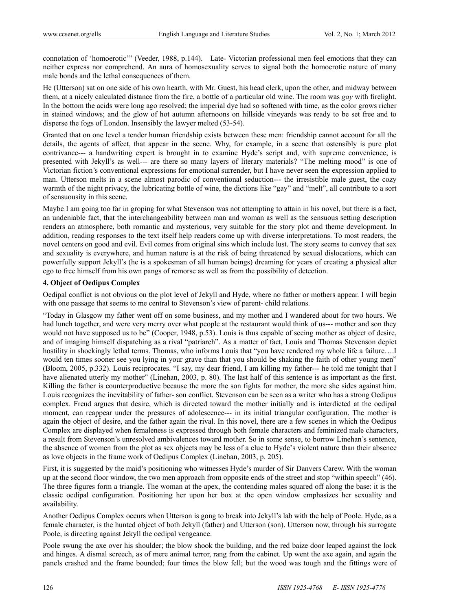connotation of 'homoerotic'" (Veeder, 1988, p.144). Late- Victorian professional men feel emotions that they can neither express nor comprehend. An aura of homosexuality serves to signal both the homoerotic nature of many male bonds and the lethal consequences of them.

He (Utterson) sat on one side of his own hearth, with Mr. Guest, his head clerk, upon the other, and midway between them, at a nicely calculated distance from the fire, a bottle of a particular old wine. The room was *gay* with firelight. In the bottom the acids were long ago resolved; the imperial dye had so softened with time, as the color grows richer in stained windows; and the glow of hot autumn afternoons on hillside vineyards was ready to be set free and to disperse the fogs of London. Insensibly the lawyer melted (53-54).

Granted that on one level a tender human friendship exists between these men: friendship cannot account for all the details, the agents of affect, that appear in the scene. Why, for example, in a scene that ostensibly is pure plot contrivance--- a handwriting expert is brought in to examine Hyde's script and, with supreme convenience, is presented with Jekyll's as well--- are there so many layers of literary materials? "The melting mood" is one of Victorian fiction's conventional expressions for emotional surrender, but I have never seen the expression applied to man. Utterson melts in a scene almost parodic of conventional seduction--- the irresistible male guest, the cozy warmth of the night privacy, the lubricating bottle of wine, the dictions like "gay" and "melt", all contribute to a sort of sensuousity in this scene.

Maybe I am going too far in groping for what Stevenson was not attempting to attain in his novel, but there is a fact, an undeniable fact, that the interchangeability between man and woman as well as the sensuous setting description renders an atmosphere, both romantic and mysterious, very suitable for the story plot and theme development. In addition, reading responses to the text itself help readers come up with diverse interpretations. To most readers, the novel centers on good and evil. Evil comes from original sins which include lust. The story seems to convey that sex and sexuality is everywhere, and human nature is at the risk of being threatened by sexual dislocations, which can powerfully support Jekyll's (he is a spokesman of all human beings) dreaming for years of creating a physical alter ego to free himself from his own pangs of remorse as well as from the possibility of detection.

# **4. Object of Oedipus Complex**

Oedipal conflict is not obvious on the plot level of Jekyll and Hyde, where no father or mothers appear. I will begin with one passage that seems to me central to Stevenson's view of parent- child relations.

"Today in Glasgow my father went off on some business, and my mother and I wandered about for two hours. We had lunch together, and were very merry over what people at the restaurant would think of us--- mother and son they would not have supposed us to be" (Cooper, 1948, p.53). Louis is thus capable of seeing mother as object of desire, and of imaging himself dispatching as a rival "patriarch". As a matter of fact, Louis and Thomas Stevenson depict hostility in shockingly lethal terms. Thomas, who informs Louis that "you have rendered my whole life a failure….I would ten times sooner see you lying in your grave than that you should be shaking the faith of other young men" (Bloom, 2005, p.332). Louis reciprocates. "I say, my dear friend, I am killing my father--- he told me tonight that I have alienated utterly my mother" (Linehan, 2003, p. 80). The last half of this sentence is as important as the first. Killing the father is counterproductive because the more the son fights for mother, the more she sides against him. Louis recognizes the inevitability of father- son conflict. Stevenson can be seen as a writer who has a strong Oedipus complex. Freud argues that desire, which is directed toward the mother initially and is interdicted at the oedipal moment, can reappear under the pressures of adolescence--- in its initial triangular configuration. The mother is again the object of desire, and the father again the rival. In this novel, there are a few scenes in which the Oedipus Complex are displayed when femaleness is expressed through both female characters and feminized male characters, a result from Stevenson's unresolved ambivalences toward mother. So in some sense, to borrow Linehan's sentence, the absence of women from the plot as sex objects may be less of a clue to Hyde's violent nature than their absence as love objects in the frame work of Oedipus Complex (Linehan, 2003, p. 205).

First, it is suggested by the maid's positioning who witnesses Hyde's murder of Sir Danvers Carew. With the woman up at the second floor window, the two men approach from opposite ends of the street and stop "within speech" (46). The three figures form a triangle. The woman at the apex, the contending males squared off along the base: it is the classic oedipal configuration. Positioning her upon her box at the open window emphasizes her sexuality and availability.

Another Oedipus Complex occurs when Utterson is gong to break into Jekyll's lab with the help of Poole. Hyde, as a female character, is the hunted object of both Jekyll (father) and Utterson (son). Utterson now, through his surrogate Poole, is directing against Jekyll the oedipal vengeance.

Poole swung the axe over his shoulder; the blow shook the building, and the red baize door leaped against the lock and hinges. A dismal screech, as of mere animal terror, rang from the cabinet. Up went the axe again, and again the panels crashed and the frame bounded; four times the blow fell; but the wood was tough and the fittings were of